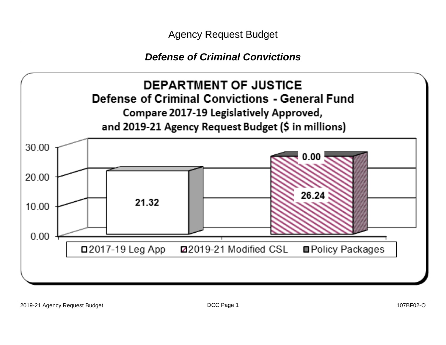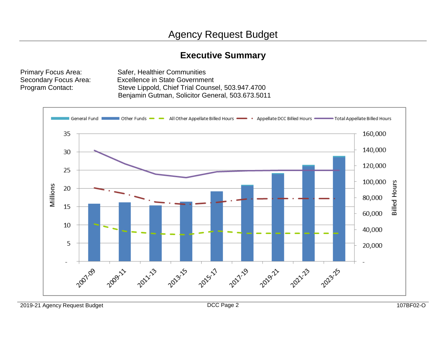## **Executive Summary**

Primary Focus Area: Safer, Healthier Communities Secondary Focus Area: Excellence in State Government Program Contact: Steve Lippold, Chief Trial Counsel, 503.947.4700 Benjamin Gutman, Solicitor General, 503.673.5011



2019-21 Agency Request Budget DCC Page 2 107BF02-O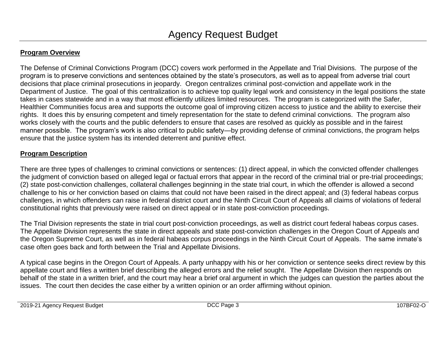#### **Program Overview**

The Defense of Criminal Convictions Program (DCC) covers work performed in the Appellate and Trial Divisions. The purpose of the program is to preserve convictions and sentences obtained by the state's prosecutors, as well as to appeal from adverse trial court decisions that place criminal prosecutions in jeopardy. Oregon centralizes criminal post-conviction and appellate work in the Department of Justice. The goal of this centralization is to achieve top quality legal work and consistency in the legal positions the state takes in cases statewide and in a way that most efficiently utilizes limited resources. The program is categorized with the Safer, Healthier Communities focus area and supports the outcome goal of improving citizen access to justice and the ability to exercise their rights. It does this by ensuring competent and timely representation for the state to defend criminal convictions. The program also works closely with the courts and the public defenders to ensure that cases are resolved as quickly as possible and in the fairest manner possible. The program's work is also critical to public safety—by providing defense of criminal convictions, the program helps ensure that the justice system has its intended deterrent and punitive effect.

#### **Program Description**

There are three types of challenges to criminal convictions or sentences: (1) direct appeal, in which the convicted offender challenges the judgment of conviction based on alleged legal or factual errors that appear in the record of the criminal trial or pre-trial proceedings; (2) state post-conviction challenges, collateral challenges beginning in the state trial court, in which the offender is allowed a second challenge to his or her conviction based on claims that could not have been raised in the direct appeal; and (3) federal habeas corpus challenges, in which offenders can raise in federal district court and the Ninth Circuit Court of Appeals all claims of violations of federal constitutional rights that previously were raised on direct appeal or in state post-conviction proceedings.

The Trial Division represents the state in trial court post-conviction proceedings, as well as district court federal habeas corpus cases. The Appellate Division represents the state in direct appeals and state post-conviction challenges in the Oregon Court of Appeals and the Oregon Supreme Court, as well as in federal habeas corpus proceedings in the Ninth Circuit Court of Appeals. The same inmate's case often goes back and forth between the Trial and Appellate Divisions.

A typical case begins in the Oregon Court of Appeals. A party unhappy with his or her conviction or sentence seeks direct review by this appellate court and files a written brief describing the alleged errors and the relief sought. The Appellate Division then responds on behalf of the state in a written brief, and the court may hear a brief oral argument in which the judges can question the parties about the issues. The court then decides the case either by a written opinion or an order affirming without opinion.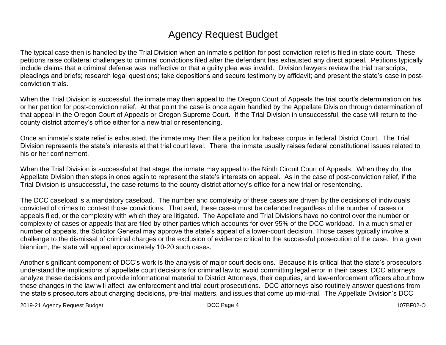# Agency Request Budget

The typical case then is handled by the Trial Division when an inmate's petition for post-conviction relief is filed in state court. These petitions raise collateral challenges to criminal convictions filed after the defendant has exhausted any direct appeal. Petitions typically include claims that a criminal defense was ineffective or that a guilty plea was invalid. Division lawyers review the trial transcripts, pleadings and briefs; research legal questions; take depositions and secure testimony by affidavit; and present the state's case in postconviction trials.

When the Trial Division is successful, the inmate may then appeal to the Oregon Court of Appeals the trial court's determination on his or her petition for post-conviction relief. At that point the case is once again handled by the Appellate Division through determination of that appeal in the Oregon Court of Appeals or Oregon Supreme Court. If the Trial Division in unsuccessful, the case will return to the county district attorney's office either for a new trial or resentencing.

Once an inmate's state relief is exhausted, the inmate may then file a petition for habeas corpus in federal District Court. The Trial Division represents the state's interests at that trial court level. There, the inmate usually raises federal constitutional issues related to his or her confinement.

When the Trial Division is successful at that stage, the inmate may appeal to the Ninth Circuit Court of Appeals. When they do, the Appellate Division then steps in once again to represent the state's interests on appeal. As in the case of post-conviction relief, if the Trial Division is unsuccessful, the case returns to the county district attorney's office for a new trial or resentencing.

The DCC caseload is a mandatory caseload. The number and complexity of these cases are driven by the decisions of individuals convicted of crimes to contest those convictions. That said, these cases must be defended regardless of the number of cases or appeals filed, or the complexity with which they are litigated. The Appellate and Trial Divisions have no control over the number or complexity of cases or appeals that are filed by other parties which accounts for over 95% of the DCC workload. In a much smaller number of appeals, the Solicitor General may approve the state's appeal of a lower-court decision. Those cases typically involve a challenge to the dismissal of criminal charges or the exclusion of evidence critical to the successful prosecution of the case. In a given biennium, the state will appeal approximately 10-20 such cases.

Another significant component of DCC's work is the analysis of major court decisions. Because it is critical that the state's prosecutors understand the implications of appellate court decisions for criminal law to avoid committing legal error in their cases, DCC attorneys analyze these decisions and provide informational material to District Attorneys, their deputies, and law-enforcement officers about how these changes in the law will affect law enforcement and trial court prosecutions. DCC attorneys also routinely answer questions from the state's prosecutors about charging decisions, pre-trial matters, and issues that come up mid-trial. The Appellate Division's DCC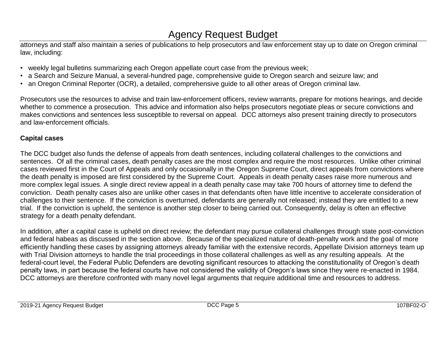## Agency Request Budget

attorneys and staff also maintain a series of publications to help prosecutors and law enforcement stay up to date on Oregon criminal law, including:

- weekly legal bulletins summarizing each Oregon appellate court case from the previous week;
- a Search and Seizure Manual, a several-hundred page, comprehensive guide to Oregon search and seizure law; and
- an Oregon Criminal Reporter (OCR), a detailed, comprehensive guide to all other areas of Oregon criminal law.

Prosecutors use the resources to advise and train law-enforcement officers, review warrants, prepare for motions hearings, and decide whether to commence a prosecution. This advice and information also helps prosecutors negotiate pleas or secure convictions and makes convictions and sentences less susceptible to reversal on appeal. DCC attorneys also present training directly to prosecutors and law-enforcement officials.

#### **Capital cases**

The DCC budget also funds the defense of appeals from death sentences, including collateral challenges to the convictions and sentences. Of all the criminal cases, death penalty cases are the most complex and require the most resources. Unlike other criminal cases reviewed first in the Court of Appeals and only occasionally in the Oregon Supreme Court, direct appeals from convictions where the death penalty is imposed are first considered by the Supreme Court. Appeals in death penalty cases raise more numerous and more complex legal issues. A single direct review appeal in a death penalty case may take 700 hours of attorney time to defend the conviction. Death penalty cases also are unlike other cases in that defendants often have little incentive to accelerate consideration of challenges to their sentence. If the conviction is overturned, defendants are generally not released; instead they are entitled to a new trial. If the conviction is upheld, the sentence is another step closer to being carried out. Consequently, delay is often an effective strategy for a death penalty defendant.

In addition, after a capital case is upheld on direct review; the defendant may pursue collateral challenges through state post-conviction and federal habeas as discussed in the section above. Because of the specialized nature of death-penalty work and the goal of more efficiently handling these cases by assigning attorneys already familiar with the extensive records, Appellate Division attorneys team up with Trial Division attorneys to handle the trial proceedings in those collateral challenges as well as any resulting appeals. At the federal-court level, the Federal Public Defenders are devoting significant resources to attacking the constitutionality of Oregon's death penalty laws, in part because the federal courts have not considered the validity of Oregon's laws since they were re-enacted in 1984. DCC attorneys are therefore confronted with many novel legal arguments that require additional time and resources to address.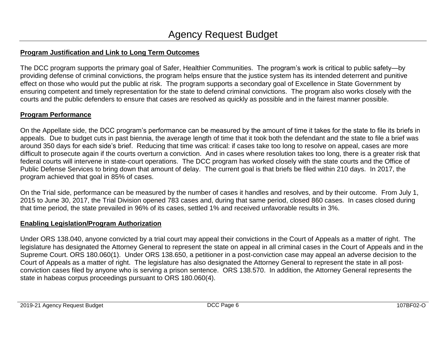#### **Program Justification and Link to Long Term Outcomes**

The DCC program supports the primary goal of Safer, Healthier Communities. The program's work is critical to public safety—by providing defense of criminal convictions, the program helps ensure that the justice system has its intended deterrent and punitive effect on those who would put the public at risk. The program supports a secondary goal of Excellence in State Government by ensuring competent and timely representation for the state to defend criminal convictions. The program also works closely with the courts and the public defenders to ensure that cases are resolved as quickly as possible and in the fairest manner possible.

#### **Program Performance**

On the Appellate side, the DCC program's performance can be measured by the amount of time it takes for the state to file its briefs in appeals. Due to budget cuts in past biennia, the average length of time that it took both the defendant and the state to file a brief was around 350 days for each side's brief. Reducing that time was critical: if cases take too long to resolve on appeal, cases are more difficult to prosecute again if the courts overturn a conviction. And in cases where resolution takes too long, there is a greater risk that federal courts will intervene in state-court operations. The DCC program has worked closely with the state courts and the Office of Public Defense Services to bring down that amount of delay. The current goal is that briefs be filed within 210 days. In 2017, the program achieved that goal in 85% of cases.

On the Trial side, performance can be measured by the number of cases it handles and resolves, and by their outcome. From July 1, 2015 to June 30, 2017, the Trial Division opened 783 cases and, during that same period, closed 860 cases. In cases closed during that time period, the state prevailed in 96% of its cases, settled 1% and received unfavorable results in 3%.

#### **Enabling Legislation/Program Authorization**

Under ORS 138.040, anyone convicted by a trial court may appeal their convictions in the Court of Appeals as a matter of right. The legislature has designated the Attorney General to represent the state on appeal in all criminal cases in the Court of Appeals and in the Supreme Court. ORS 180.060(1). Under ORS 138.650, a petitioner in a post-conviction case may appeal an adverse decision to the Court of Appeals as a matter of right. The legislature has also designated the Attorney General to represent the state in all postconviction cases filed by anyone who is serving a prison sentence. ORS 138.570. In addition, the Attorney General represents the state in habeas corpus proceedings pursuant to ORS 180.060(4).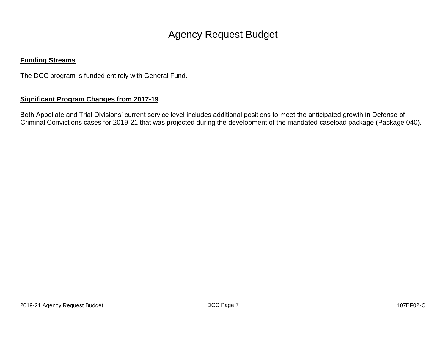#### **Funding Streams**

The DCC program is funded entirely with General Fund.

#### **Significant Program Changes from 2017-19**

Both Appellate and Trial Divisions' current service level includes additional positions to meet the anticipated growth in Defense of Criminal Convictions cases for 2019-21 that was projected during the development of the mandated caseload package (Package 040).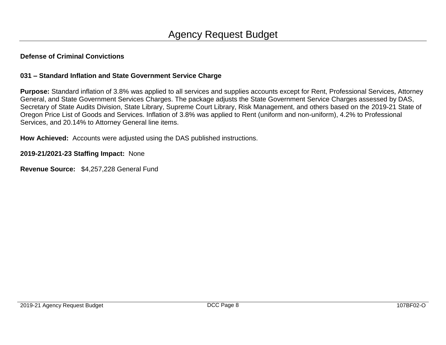#### **031 – Standard Inflation and State Government Service Charge**

**Purpose:** Standard inflation of 3.8% was applied to all services and supplies accounts except for Rent, Professional Services, Attorney General, and State Government Services Charges. The package adjusts the State Government Service Charges assessed by DAS, Secretary of State Audits Division, State Library, Supreme Court Library, Risk Management, and others based on the 2019-21 State of Oregon Price List of Goods and Services. Inflation of 3.8% was applied to Rent (uniform and non-uniform), 4.2% to Professional Services, and 20.14% to Attorney General line items.

**How Achieved:** Accounts were adjusted using the DAS published instructions.

**2019-21/2021-23 Staffing Impact:** None

**Revenue Source:** \$4,257,228 General Fund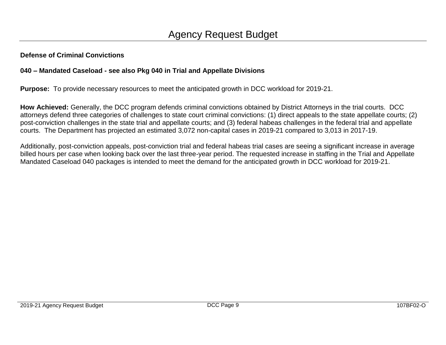#### **040 – Mandated Caseload - see also Pkg 040 in Trial and Appellate Divisions**

**Purpose:** To provide necessary resources to meet the anticipated growth in DCC workload for 2019-21.

**How Achieved:** Generally, the DCC program defends criminal convictions obtained by District Attorneys in the trial courts. DCC attorneys defend three categories of challenges to state court criminal convictions: (1) direct appeals to the state appellate courts; (2) post-conviction challenges in the state trial and appellate courts; and (3) federal habeas challenges in the federal trial and appellate courts. The Department has projected an estimated 3,072 non-capital cases in 2019-21 compared to 3,013 in 2017-19.

Additionally, post-conviction appeals, post-conviction trial and federal habeas trial cases are seeing a significant increase in average billed hours per case when looking back over the last three-year period. The requested increase in staffing in the Trial and Appellate Mandated Caseload 040 packages is intended to meet the demand for the anticipated growth in DCC workload for 2019-21.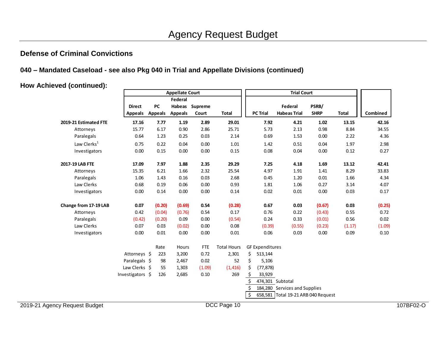#### **040 – Mandated Caseload - see also Pkg 040 in Trial and Appellate Divisions (continued)**

**How Achieved (continued):**

|                               |                                 | <b>Appellate Court</b> |                |                         |                    | <b>Trial Court</b>                                |                        |                                     |                      |              |          |           |
|-------------------------------|---------------------------------|------------------------|----------------|-------------------------|--------------------|---------------------------------------------------|------------------------|-------------------------------------|----------------------|--------------|----------|-----------|
|                               |                                 | Federal                |                |                         |                    |                                                   |                        |                                     |                      |              |          |           |
|                               | <b>Direct</b><br><b>Appeals</b> | PC<br><b>Appeals</b>   | <b>Appeals</b> | Habeas Supreme<br>Court | <b>Total</b>       |                                                   | <b>PC Trial</b>        | Federal<br><b>Habeas Trial</b>      | PSRB/<br><b>SHRP</b> | <b>Total</b> | Combined |           |
| 2019-21 Estimated FTE         | 17.16                           | 7.77                   | 1.19           | 2.89                    | 29.01              |                                                   | 7.92                   | 4.21                                | 1.02                 | 13.15        | 42.16    |           |
| Attorneys                     | 15.77                           | 6.17                   | 0.90           | 2.86                    | 25.71              |                                                   | 5.73                   | 2.13                                | 0.98                 | 8.84         | 34.55    |           |
| Paralegals                    | 0.64                            | 1.23                   | 0.25           | 0.03                    | 2.14               |                                                   | 0.69                   | 1.53                                | 0.00                 | 2.22         | 4.36     |           |
| Law Clerks <sup>1</sup>       | 0.75                            | 0.22                   | 0.04           | 0.00                    | 1.01               |                                                   | 1.42                   | 0.51                                | 0.04                 | 1.97         | 2.98     |           |
| Investigators                 | 0.00                            | 0.15                   | 0.00           | 0.00                    | 0.15               |                                                   | 0.08                   | 0.04                                | 0.00                 | 0.12         | 0.27     |           |
| 2017-19 LAB FTE               | 17.09                           | 7.97                   | 1.88           | 2.35                    | 29.29              |                                                   | 7.25                   | 4.18                                | 1.69                 | 13.12        | 42.41    |           |
| Attorneys                     | 15.35                           | 6.21                   | 1.66           | 2.32                    | 25.54              |                                                   | 4.97                   | 1.91                                | 1.41                 | 8.29         | 33.83    |           |
| Paralegals                    | 1.06                            | 1.43                   | 0.16           | 0.03                    | 2.68               |                                                   | 0.45                   | 1.20                                | 0.01                 | 1.66         | 4.34     |           |
| Law Clerks                    | 0.68                            | 0.19                   | 0.06           | 0.00                    | 0.93               |                                                   | 1.81                   | 1.06                                | 0.27                 | 3.14         | 4.07     |           |
| Investigators                 | 0.00                            | 0.14                   | 0.00           | 0.00                    | 0.14               |                                                   | 0.02                   | 0.01                                | 0.00                 | 0.03         | 0.17     |           |
| Change from 17-19 LAB         | 0.07                            | (0.20)                 | (0.69)         | 0.54                    | (0.28)             |                                                   | 0.67                   | 0.03                                | (0.67)               | 0.03         | (0.25)   |           |
| Attorneys                     | 0.42                            | (0.04)                 | (0.76)         | 0.54                    | 0.17               |                                                   | 0.76                   | 0.22                                | (0.43)               | 0.55         | 0.72     |           |
| Paralegals                    | (0.42)                          | (0.20)                 | 0.09           | 0.00                    | (0.54)             |                                                   | 0.24                   | 0.33                                | (0.01)               | 0.56         | 0.02     |           |
| Law Clerks                    | 0.07                            | 0.03                   | (0.02)         | 0.00                    | 0.08               |                                                   | (0.39)                 | (0.55)                              | (0.23)               | (1.17)       | (1.09)   |           |
| Investigators                 | 0.00                            | 0.01                   | 0.00           | 0.00                    | $0.01\,$           |                                                   | 0.06                   | 0.03                                | 0.00                 | 0.09         | 0.10     |           |
|                               |                                 | Rate                   | Hours          | <b>FTE</b>              | <b>Total Hours</b> |                                                   | <b>GF Expenditures</b> |                                     |                      |              |          |           |
|                               | Attorneys \$                    | 223                    | 3,200          | 0.72                    | 2,301              | \$                                                | 513,144                |                                     |                      |              |          |           |
|                               | Paralegals \$                   | 98                     | 2,467          | 0.02                    | 52                 | \$                                                | 5,106                  |                                     |                      |              |          |           |
|                               | Law Clerks \$                   | 55                     | 1,303          | (1.09)                  | (1, 416)           | \$                                                | (77, 878)              |                                     |                      |              |          |           |
|                               | Investigators \$                | 126                    | 2,685          | 0.10                    | 269                |                                                   | 33,929                 |                                     |                      |              |          |           |
|                               |                                 |                        |                |                         |                    | 474,301 Subtotal<br>184,280 Services and Supplies |                        |                                     |                      |              |          |           |
|                               |                                 |                        |                |                         |                    |                                                   |                        |                                     |                      |              |          |           |
|                               |                                 |                        |                |                         |                    | $\ddot{\mathsf{S}}$                               |                        | 658,581 Total 19-21 ARB 040 Request |                      |              |          |           |
| 2019-21 Agency Request Budget |                                 |                        |                |                         | DCC Page 10        |                                                   |                        |                                     |                      |              |          | 107BF02-O |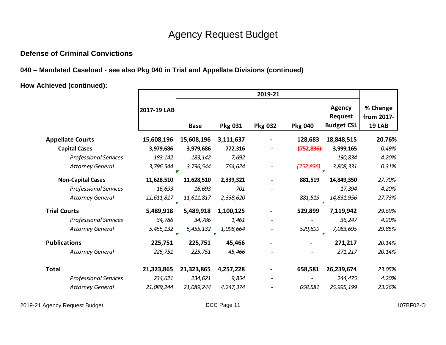**040 – Mandated Caseload - see also Pkg 040 in Trial and Appellate Divisions (continued)**

**How Achieved (continued):**

|                              | 2017-19 LAB | <b>Base</b>    | Pkg 031                   | <b>Pkg 032</b> | <b>Pkg 040</b> | <b>Agency</b><br><b>Request</b><br><b>Budget CSL</b> | % Change<br>from 2017-<br><b>19 LAB</b> |
|------------------------------|-------------|----------------|---------------------------|----------------|----------------|------------------------------------------------------|-----------------------------------------|
| <b>Appellate Courts</b>      | 15,608,196  | 15,608,196     | 3,111,637                 |                | 128,683        | 18,848,515                                           | 20.76%                                  |
| <b>Capital Cases</b>         | 3,979,686   | 3,979,686      | 772,316                   |                | (752, 836)     | 3,999,165                                            | 0.49%                                   |
| <b>Professional Services</b> | 183,142     | 183,142        | 7,692                     |                |                | 190,834                                              | 4.20%                                   |
| <b>Attorney General</b>      | 3,796,544   | 3,796,544      | 764,624                   |                | (752, 836)     | 3,808,331                                            | 0.31%                                   |
| <b>Non-Capital Cases</b>     | 11,628,510  | 11,628,510     | 2,339,321                 |                | 881,519        | 14,849,350                                           | 27.70%                                  |
| <b>Professional Services</b> | 16,693      | 16,693         | 701                       |                |                | 17,394                                               | 4.20%                                   |
| <b>Attorney General</b>      | 11,611,817  | 11,611,817     | 2,338,620                 |                | 881,519        | 14,831,956                                           | 27.73%                                  |
| <b>Trial Courts</b>          | 5,489,918   | 5,489,918      | 1,100,125                 |                | 529,899        | 7,119,942                                            | 29.69%                                  |
| <b>Professional Services</b> | 34,786      | 34,786         | 1,461                     |                |                | 36,247                                               | 4.20%                                   |
| <b>Attorney General</b>      | 5,455,132   | 5,455,132<br>× | 1,098,664<br>$\mathbf{r}$ |                | 529,899        | 7,083,695<br>×                                       | 29.85%                                  |
| <b>Publications</b>          | 225,751     | 225,751        | 45,466                    |                |                | 271,217                                              | 20.14%                                  |
| <b>Attorney General</b>      | 225,751     | 225,751        | 45,466                    |                |                | 271,217                                              | 20.14%                                  |
|                              |             |                |                           |                |                |                                                      |                                         |
| <b>Total</b>                 | 21,323,865  | 21,323,865     | 4,257,228                 |                | 658,581        | 26,239,674                                           | 23.05%                                  |
| <b>Professional Services</b> | 234,621     | 234,621        | 9,854                     |                |                | 244,475                                              | 4.20%                                   |
| <b>Attorney General</b>      | 21,089,244  | 21,089,244     | 4,247,374                 |                | 658,581        | 25,995,199                                           | 23.26%                                  |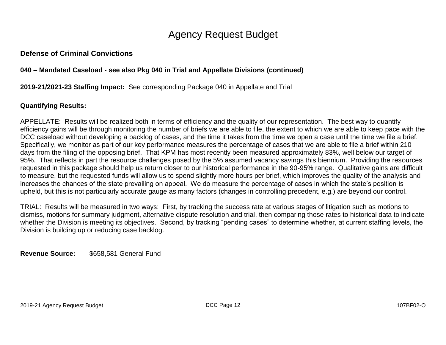#### **040 – Mandated Caseload - see also Pkg 040 in Trial and Appellate Divisions (continued)**

**2019-21/2021-23 Staffing Impact:** See corresponding Package 040 in Appellate and Trial

### **Quantifying Results:**

APPELLATE: Results will be realized both in terms of efficiency and the quality of our representation. The best way to quantify efficiency gains will be through monitoring the number of briefs we are able to file, the extent to which we are able to keep pace with the DCC caseload without developing a backlog of cases, and the time it takes from the time we open a case until the time we file a brief. Specifically, we monitor as part of our key performance measures the percentage of cases that we are able to file a brief within 210 days from the filing of the opposing brief. That KPM has most recently been measured approximately 83%, well below our target of 95%. That reflects in part the resource challenges posed by the 5% assumed vacancy savings this biennium. Providing the resources requested in this package should help us return closer to our historical performance in the 90-95% range. Qualitative gains are difficult to measure, but the requested funds will allow us to spend slightly more hours per brief, which improves the quality of the analysis and increases the chances of the state prevailing on appeal. We do measure the percentage of cases in which the state's position is upheld, but this is not particularly accurate gauge as many factors (changes in controlling precedent, e.g.) are beyond our control.

TRIAL: Results will be measured in two ways: First, by tracking the success rate at various stages of litigation such as motions to dismiss, motions for summary judgment, alternative dispute resolution and trial, then comparing those rates to historical data to indicate whether the Division is meeting its objectives. Second, by tracking "pending cases" to determine whether, at current staffing levels, the Division is building up or reducing case backlog.

**Revenue Source:** \$658,581 General Fund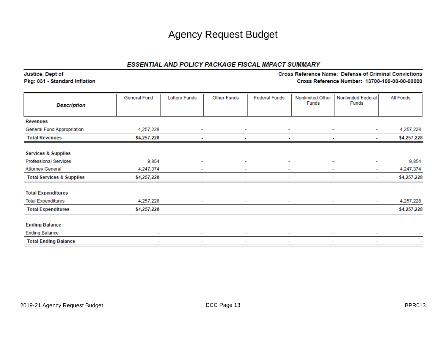#### ESSENTIAL AND POLICY PACKAGE FISCAL IMPACT SUMMARY

Justice, Dept of Pkg: 031 - Standard Inflation

#### Cross Reference Name: Defense of Criminal Convictions Cross Reference Number: 13700-100-00-00-00000

|                                      | General Fund             | <b>Lottery Funds</b>     | <b>Other Funds</b>       | <b>Federal Funds</b>     | <b>Nonlimited Other</b><br>Funds | <b>Nonlimited Federal</b><br><b>Funds</b> | <b>All Funds</b> |
|--------------------------------------|--------------------------|--------------------------|--------------------------|--------------------------|----------------------------------|-------------------------------------------|------------------|
| <b>Description</b>                   |                          |                          |                          |                          |                                  |                                           |                  |
| <b>Revenues</b>                      |                          |                          |                          |                          |                                  |                                           |                  |
| General Fund Appropriation           | 4,257,228                | ٠                        | $\sim$                   | ٠                        | ٠                                | ٠                                         | 4,257,228        |
| <b>Total Revenues</b>                | \$4,257,228              |                          |                          |                          |                                  | ۰                                         | \$4,257,228      |
| <b>Services &amp; Supplies</b>       |                          |                          |                          |                          |                                  |                                           |                  |
| <b>Professional Services</b>         | 9,854                    |                          | ۰                        |                          |                                  |                                           | 9,854            |
| <b>Attorney General</b>              | 4,247,374                | ۰                        | ۰                        |                          |                                  | ٠                                         | 4,247,374        |
| <b>Total Services &amp; Supplies</b> | \$4,257,228              |                          |                          |                          |                                  | ۰                                         | \$4,257,228      |
| <b>Total Expenditures</b>            |                          |                          |                          |                          |                                  |                                           |                  |
| <b>Total Expenditures</b>            | 4,257,228                | $\overline{\phantom{a}}$ | ۰                        | ۰                        |                                  | ۰                                         | 4,257,228        |
| <b>Total Expenditures</b>            | \$4,257,228              |                          | ٠                        |                          |                                  | ٠                                         | \$4,257,228      |
| <b>Ending Balance</b>                |                          |                          |                          |                          |                                  |                                           |                  |
| <b>Ending Balance</b>                | $\overline{\phantom{a}}$ | $\overline{\phantom{a}}$ | $\overline{\phantom{a}}$ | $\overline{\phantom{a}}$ |                                  | -                                         |                  |
| <b>Total Ending Balance</b>          | ۰                        | ٠                        | ٠                        | ٠                        |                                  | ٠                                         |                  |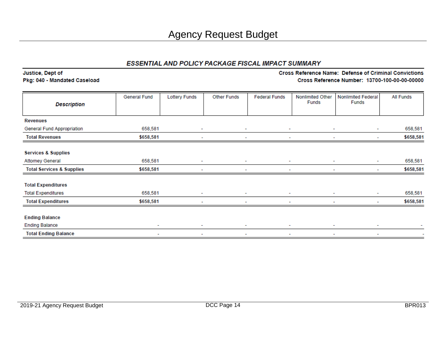#### ESSENTIAL AND POLICY PACKAGE FISCAL IMPACT SUMMARY

Justice, Dept of Pkg: 040 - Mandated Caseload

#### Cross Reference Name: Defense of Criminal Convictions Cross Reference Number: 13700-100-00-00-00000

| <b>Description</b>                   | <b>General Fund</b>      | <b>Lottery Funds</b> | <b>Other Funds</b>       | <b>Federal Funds</b> | Nonlimited Other<br><b>Funds</b> | <b>Nonlimited Federal</b><br><b>Funds</b> | <b>All Funds</b> |
|--------------------------------------|--------------------------|----------------------|--------------------------|----------------------|----------------------------------|-------------------------------------------|------------------|
|                                      |                          |                      |                          |                      |                                  |                                           |                  |
| <b>Revenues</b>                      |                          |                      |                          |                      |                                  |                                           |                  |
| General Fund Appropriation           | 658,581                  | $\sim$               | ٠                        | ٠                    | ٠                                | $\overline{\phantom{a}}$                  | 658,581          |
| <b>Total Revenues</b>                | \$658,581                | ۰                    |                          | ٠                    | ۰                                | $\sim$                                    | \$658,581        |
| <b>Services &amp; Supplies</b>       |                          |                      |                          |                      |                                  |                                           |                  |
| <b>Attorney General</b>              | 658,581                  | ٠                    | ٠                        | ٠                    | ٠                                | ٠                                         | 658,581          |
| <b>Total Services &amp; Supplies</b> | \$658,581                | ٠                    | $\overline{\phantom{a}}$ | ٠                    | ٠                                | $\sim$                                    | \$658,581        |
| <b>Total Expenditures</b>            |                          |                      |                          |                      |                                  |                                           |                  |
| <b>Total Expenditures</b>            | 658,581                  | $\sim$               | $\overline{\phantom{a}}$ | ۰                    | ۰                                | ۰                                         | 658,581          |
| <b>Total Expenditures</b>            | \$658,581                | ۰                    | $\overline{\phantom{a}}$ | ٠                    | ٠                                | $\sim$                                    | \$658,581        |
| <b>Ending Balance</b>                |                          |                      |                          |                      |                                  |                                           |                  |
| <b>Ending Balance</b>                | $\sim$                   | ٠                    | $\sim$                   | $\sim$               | ۰                                | $\overline{\phantom{a}}$                  |                  |
| <b>Total Ending Balance</b>          | $\overline{\phantom{a}}$ | ۰                    | ٠                        | ۰                    | ۰                                | ۰                                         | ٠                |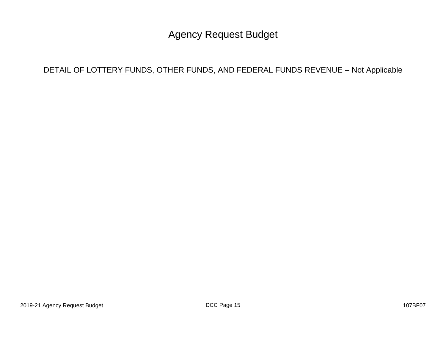## DETAIL OF LOTTERY FUNDS, OTHER FUNDS, AND FEDERAL FUNDS REVENUE - Not Applicable